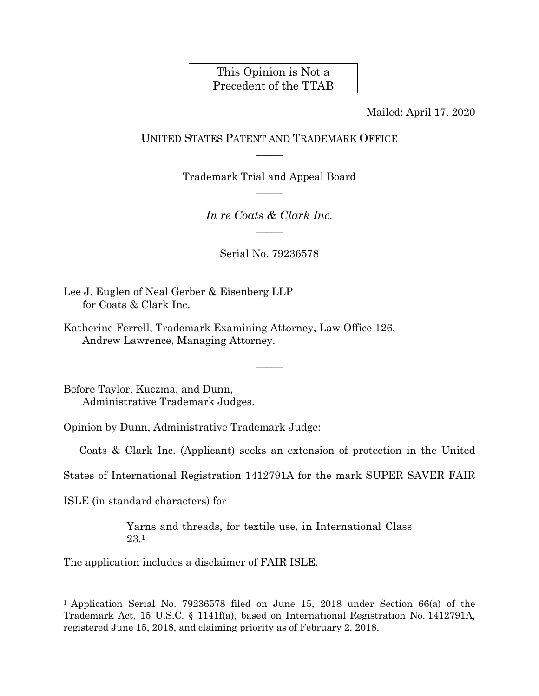# This Opinion is Not a Precedent of the TTAB

Mailed: April 17, 2020

## UNITED STATES PATENT AND TRADEMARK OFFICE  $\overline{\phantom{a}}$

Trademark Trial and Appeal Board  $\overline{\phantom{a}}$ 

> *In re Coats & Clark Inc.*   $\overline{\phantom{a}}$

> > Serial No. 79236578  $\overline{\phantom{a}}$

Lee J. Euglen of Neal Gerber & Eisenberg LLP for Coats & Clark Inc.

Katherine Ferrell, Trademark Examining Attorney, Law Office 126, Andrew Lawrence, Managing Attorney.

Before Taylor, Kuczma, and Dunn, Administrative Trademark Judges.

Opinion by Dunn, Administrative Trademark Judge:

Coats & Clark Inc. (Applicant) seeks an extension of protection in the United

 $\overline{\phantom{a}}$ 

States of International Registration 1412791A for the mark SUPER SAVER FAIR

ISLE (in standard characters) for

l

Yarns and threads, for textile use, in International Class 23.1

The application includes a disclaimer of FAIR ISLE.

<sup>1</sup> Application Serial No. 79236578 filed on June 15, 2018 under Section 66(a) of the Trademark Act, 15 U.S.C. § 1141f(a), based on International Registration No. 1412791A, registered June 15, 2018, and claiming priority as of February 2, 2018.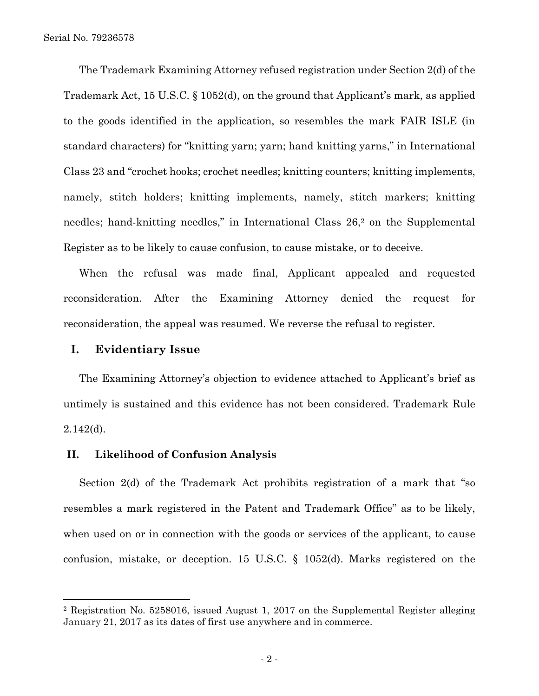The Trademark Examining Attorney refused registration under Section 2(d) of the Trademark Act, 15 U.S.C. § 1052(d), on the ground that Applicant's mark, as applied to the goods identified in the application, so resembles the mark FAIR ISLE (in standard characters) for "knitting yarn; yarn; hand knitting yarns," in International Class 23 and "crochet hooks; crochet needles; knitting counters; knitting implements, namely, stitch holders; knitting implements, namely, stitch markers; knitting needles; hand-knitting needles," in International Class 26,<sup>2</sup> on the Supplemental Register as to be likely to cause confusion, to cause mistake, or to deceive.

When the refusal was made final, Applicant appealed and requested reconsideration. After the Examining Attorney denied the request for reconsideration, the appeal was resumed. We reverse the refusal to register.

#### **I. Evidentiary Issue**

 $\overline{a}$ 

The Examining Attorney's objection to evidence attached to Applicant's brief as untimely is sustained and this evidence has not been considered. Trademark Rule 2.142(d).

#### **II. Likelihood of Confusion Analysis**

Section 2(d) of the Trademark Act prohibits registration of a mark that "so resembles a mark registered in the Patent and Trademark Office" as to be likely, when used on or in connection with the goods or services of the applicant, to cause confusion, mistake, or deception. 15 U.S.C. § 1052(d). Marks registered on the

<sup>2</sup> Registration No. 5258016, issued August 1, 2017 on the Supplemental Register alleging January 21, 2017 as its dates of first use anywhere and in commerce.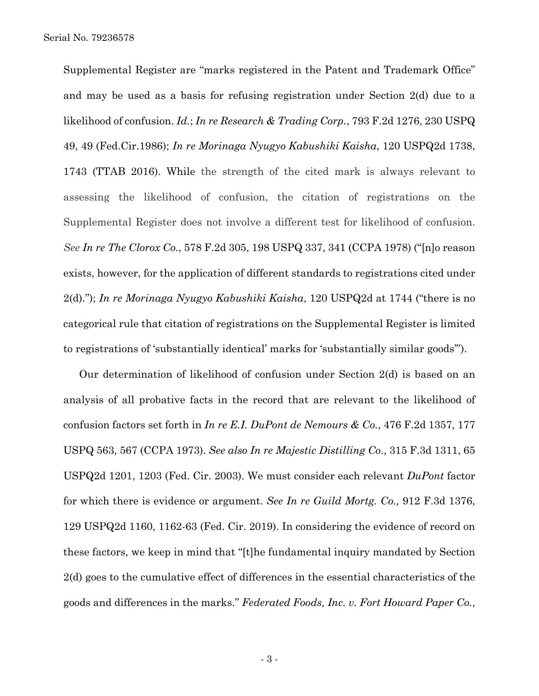Supplemental Register are "marks registered in the Patent and Trademark Office" and may be used as a basis for refusing registration under Section 2(d) due to a likelihood of confusion. *Id.*; *In re Research & Trading Corp.*, 793 F.2d 1276, 230 USPQ 49, 49 (Fed.Cir.1986); *In re Morinaga Nyugyo Kabushiki Kaisha*, 120 USPQ2d 1738, 1743 (TTAB 2016). While the strength of the cited mark is always relevant to assessing the likelihood of confusion, the citation of registrations on the Supplemental Register does not involve a different test for likelihood of confusion. *See In re The Clorox Co.*, 578 F.2d 305, 198 USPQ 337, 341 (CCPA 1978) ("[n]o reason exists, however, for the application of different standards to registrations cited under 2(d)."); *In re Morinaga Nyugyo Kabushiki Kaisha*, 120 USPQ2d at 1744 ("there is no categorical rule that citation of registrations on the Supplemental Register is limited to registrations of 'substantially identical' marks for 'substantially similar goods'").

Our determination of likelihood of confusion under Section 2(d) is based on an analysis of all probative facts in the record that are relevant to the likelihood of confusion factors set forth in *In re E.I. DuPont de Nemours & Co.*, 476 F.2d 1357, 177 USPQ 563, 567 (CCPA 1973). *See also In re Majestic Distilling Co*., 315 F.3d 1311, 65 USPQ2d 1201, 1203 (Fed. Cir. 2003). We must consider each relevant *DuPont* factor for which there is evidence or argument. *See In re Guild Mortg. Co.,* 912 F.3d 1376, 129 USPQ2d 1160, 1162-63 (Fed. Cir. 2019). In considering the evidence of record on these factors, we keep in mind that "[t]he fundamental inquiry mandated by Section 2(d) goes to the cumulative effect of differences in the essential characteristics of the goods and differences in the marks." *Federated Foods, Inc. v. Fort Howard Paper Co.*,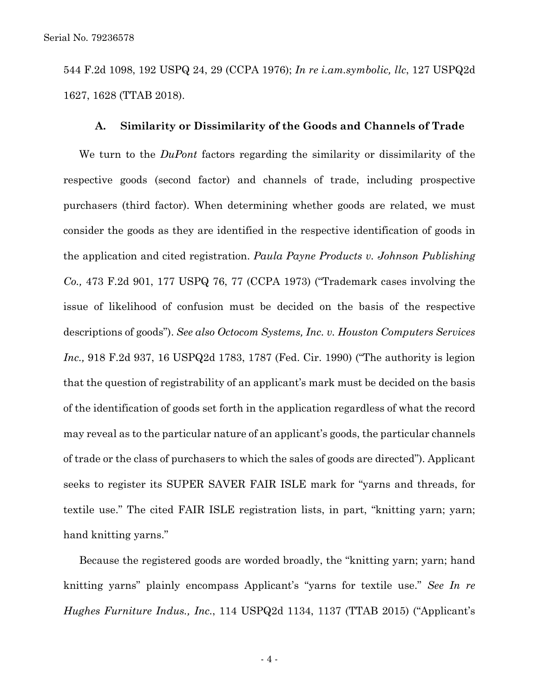544 F.2d 1098, 192 USPQ 24, 29 (CCPA 1976); *In re i.am.symbolic, llc*, 127 USPQ2d 1627, 1628 (TTAB 2018).

#### **A. Similarity or Dissimilarity of the Goods and Channels of Trade**

We turn to the *DuPont* factors regarding the similarity or dissimilarity of the respective goods (second factor) and channels of trade, including prospective purchasers (third factor). When determining whether goods are related, we must consider the goods as they are identified in the respective identification of goods in the application and cited registration. *Paula Payne Products v. Johnson Publishing Co.,* 473 F.2d 901, 177 USPQ 76, 77 (CCPA 1973) ("Trademark cases involving the issue of likelihood of confusion must be decided on the basis of the respective descriptions of goods"). *See also Octocom Systems, Inc. v. Houston Computers Services Inc.,* 918 F.2d 937, 16 USPQ2d 1783, 1787 (Fed. Cir. 1990) ("The authority is legion that the question of registrability of an applicant's mark must be decided on the basis of the identification of goods set forth in the application regardless of what the record may reveal as to the particular nature of an applicant's goods, the particular channels of trade or the class of purchasers to which the sales of goods are directed"). Applicant seeks to register its SUPER SAVER FAIR ISLE mark for "yarns and threads, for textile use." The cited FAIR ISLE registration lists, in part, "knitting yarn; yarn; hand knitting yarns."

Because the registered goods are worded broadly, the "knitting yarn; yarn; hand knitting yarns" plainly encompass Applicant's "yarns for textile use." *See In re Hughes Furniture Indus., Inc.*, 114 USPQ2d 1134, 1137 (TTAB 2015) ("Applicant's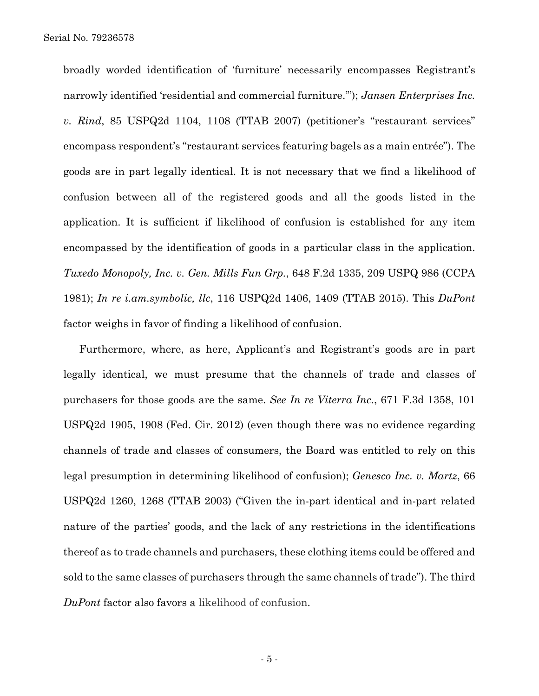broadly worded identification of 'furniture' necessarily encompasses Registrant's narrowly identified 'residential and commercial furniture.'"); *Jansen Enterprises Inc. v. Rind*, 85 USPQ2d 1104, 1108 (TTAB 2007) (petitioner's "restaurant services" encompass respondent's "restaurant services featuring bagels as a main entrée"). The goods are in part legally identical. It is not necessary that we find a likelihood of confusion between all of the registered goods and all the goods listed in the application. It is sufficient if likelihood of confusion is established for any item encompassed by the identification of goods in a particular class in the application. *Tuxedo Monopoly, Inc. v. Gen. Mills Fun Grp.*, 648 F.2d 1335, 209 USPQ 986 (CCPA 1981); *In re i.am.symbolic, llc*, 116 USPQ2d 1406, 1409 (TTAB 2015). This *DuPont* factor weighs in favor of finding a likelihood of confusion.

Furthermore, where, as here, Applicant's and Registrant's goods are in part legally identical, we must presume that the channels of trade and classes of purchasers for those goods are the same. *See In re Viterra Inc.*, 671 F.3d 1358, 101 USPQ2d 1905, 1908 (Fed. Cir. 2012) (even though there was no evidence regarding channels of trade and classes of consumers, the Board was entitled to rely on this legal presumption in determining likelihood of confusion); *Genesco Inc. v. Martz*, 66 USPQ2d 1260, 1268 (TTAB 2003) ("Given the in-part identical and in-part related nature of the parties' goods, and the lack of any restrictions in the identifications thereof as to trade channels and purchasers, these clothing items could be offered and sold to the same classes of purchasers through the same channels of trade"). The third *DuPont* factor also favors a likelihood of confusion.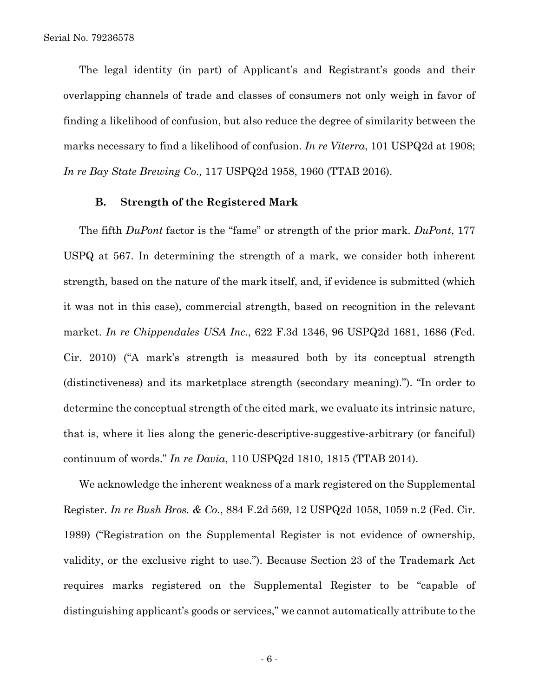The legal identity (in part) of Applicant's and Registrant's goods and their overlapping channels of trade and classes of consumers not only weigh in favor of finding a likelihood of confusion, but also reduce the degree of similarity between the marks necessary to find a likelihood of confusion. *In re Viterra*, 101 USPQ2d at 1908; *In re Bay State Brewing Co.,* 117 USPQ2d 1958, 1960 (TTAB 2016).

#### **B. Strength of the Registered Mark**

The fifth *DuPont* factor is the "fame" or strength of the prior mark. *DuPont*, 177 USPQ at 567. In determining the strength of a mark, we consider both inherent strength, based on the nature of the mark itself, and, if evidence is submitted (which it was not in this case), commercial strength, based on recognition in the relevant market. *In re Chippendales USA Inc.*, 622 F.3d 1346, 96 USPQ2d 1681, 1686 (Fed. Cir. 2010) ("A mark's strength is measured both by its conceptual strength (distinctiveness) and its marketplace strength (secondary meaning)."). "In order to determine the conceptual strength of the cited mark, we evaluate its intrinsic nature, that is, where it lies along the generic-descriptive-suggestive-arbitrary (or fanciful) continuum of words." *In re Davia*, 110 USPQ2d 1810, 1815 (TTAB 2014).

We acknowledge the inherent weakness of a mark registered on the Supplemental Register. *In re Bush Bros. & Co.*, 884 F.2d 569, 12 USPQ2d 1058, 1059 n.2 (Fed. Cir. 1989) ("Registration on the Supplemental Register is not evidence of ownership, validity, or the exclusive right to use."). Because Section 23 of the Trademark Act requires marks registered on the Supplemental Register to be "capable of distinguishing applicant's goods or services," we cannot automatically attribute to the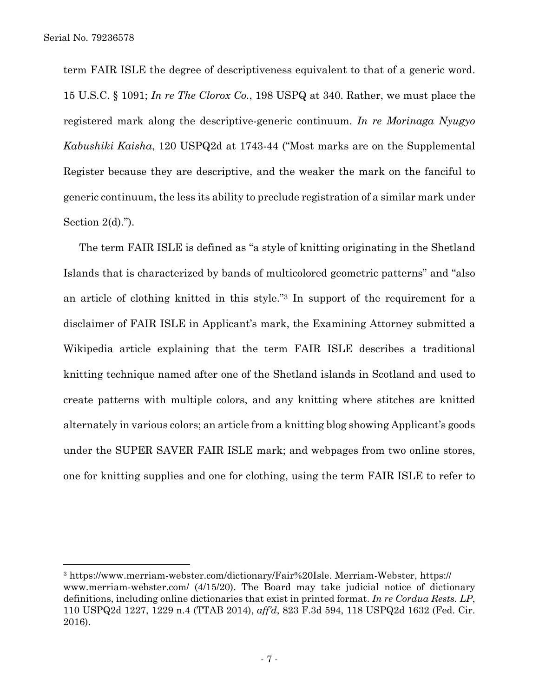$\overline{a}$ 

term FAIR ISLE the degree of descriptiveness equivalent to that of a generic word. 15 U.S.C. § 1091; *In re The Clorox Co.*, 198 USPQ at 340. Rather, we must place the registered mark along the descriptive-generic continuum. *In re Morinaga Nyugyo Kabushiki Kaisha*, 120 USPQ2d at 1743-44 ("Most marks are on the Supplemental Register because they are descriptive, and the weaker the mark on the fanciful to generic continuum, the less its ability to preclude registration of a similar mark under Section  $2(d)$ .").

The term FAIR ISLE is defined as "a style of knitting originating in the Shetland Islands that is characterized by bands of multicolored geometric patterns" and "also an article of clothing knitted in this style."3 In support of the requirement for a disclaimer of FAIR ISLE in Applicant's mark, the Examining Attorney submitted a Wikipedia article explaining that the term FAIR ISLE describes a traditional knitting technique named after one of the Shetland islands in Scotland and used to create patterns with multiple colors, and any knitting where stitches are knitted alternately in various colors; an article from a knitting blog showing Applicant's goods under the SUPER SAVER FAIR ISLE mark; and webpages from two online stores, one for knitting supplies and one for clothing, using the term FAIR ISLE to refer to

<sup>3</sup> https://www.merriam-webster.com/dictionary/Fair%20Isle. Merriam-Webster, https:// www.merriam-webster.com/ (4/15/20). The Board may take judicial notice of dictionary definitions, including online dictionaries that exist in printed format. *In re Cordua Rests. LP*, 110 USPQ2d 1227, 1229 n.4 (TTAB 2014), *aff'd*, 823 F.3d 594, 118 USPQ2d 1632 (Fed. Cir. 2016).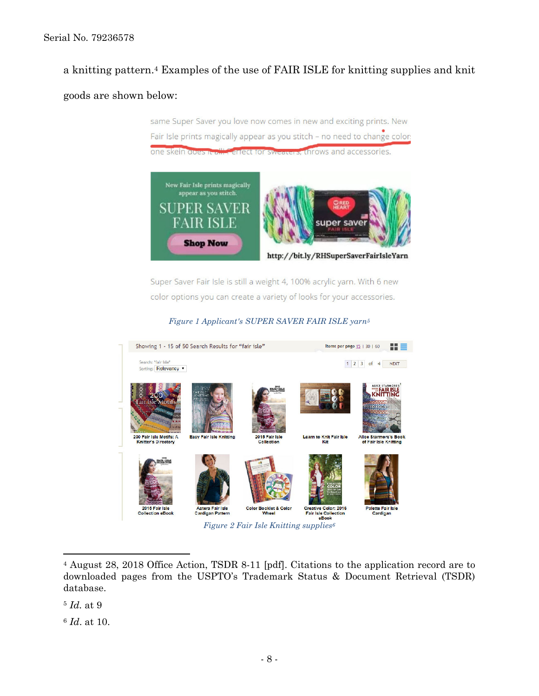## Serial No. 79236578

# a knitting pattern.4 Examples of the use of FAIR ISLE for knitting supplies and knit

## goods are shown below:

same Super Saver you love now comes in new and exciting prints. New Fair Isle prints magically appear as you stitch - no need to change color: one skein does to all cared for swe s. throws and accessories.



Super Saver Fair Isle is still a weight 4, 100% acrylic yarn. With 6 new color options you can create a variety of looks for your accessories.

*Figure 1 Applicant's SUPER SAVER FAIR ISLE yarn5*



<sup>4</sup> August 28, 2018 Office Action, TSDR 8-11 [pdf]. Citations to the application record are to downloaded pages from the USPTO's Trademark Status & Document Retrieval (TSDR) database.

<sup>5</sup> *Id.* at 9

 $\overline{a}$ 

<sup>6</sup> *Id*. at 10.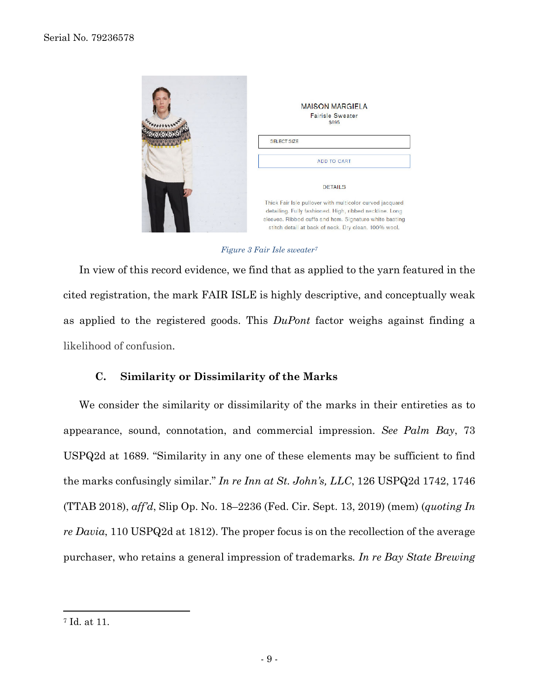

*Figure 3 Fair Isle sweater7*

In view of this record evidence, we find that as applied to the yarn featured in the cited registration, the mark FAIR ISLE is highly descriptive, and conceptually weak as applied to the registered goods. This *DuPont* factor weighs against finding a likelihood of confusion.

## **C. Similarity or Dissimilarity of the Marks**

We consider the similarity or dissimilarity of the marks in their entireties as to appearance, sound, connotation, and commercial impression. *See Palm Bay*, 73 USPQ2d at 1689. "Similarity in any one of these elements may be sufficient to find the marks confusingly similar." *In re Inn at St. John's, LLC*, 126 USPQ2d 1742, 1746 (TTAB 2018), *aff'd*, Slip Op. No. 18–2236 (Fed. Cir. Sept. 13, 2019) (mem) (*quoting In re Davia*, 110 USPQ2d at 1812). The proper focus is on the recollection of the average purchaser, who retains a general impression of trademarks*. In re Bay State Brewing* 

1

<sup>7</sup> Id. at 11.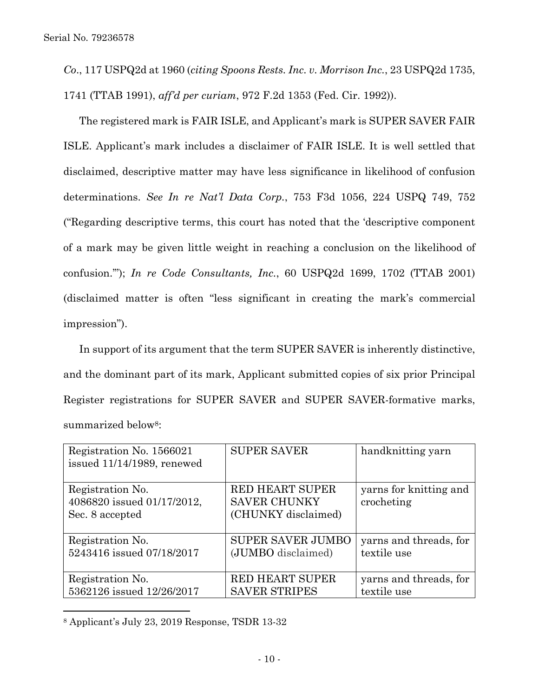*Co*., 117 USPQ2d at 1960 (*citing Spoons Rests. Inc. v. Morrison Inc.*, 23 USPQ2d 1735,

1741 (TTAB 1991), *aff'd per curiam*, 972 F.2d 1353 (Fed. Cir. 1992)).

The registered mark is FAIR ISLE, and Applicant's mark is SUPER SAVER FAIR ISLE. Applicant's mark includes a disclaimer of FAIR ISLE. It is well settled that disclaimed, descriptive matter may have less significance in likelihood of confusion determinations. *See In re Nat'l Data Corp.*, 753 F3d 1056, 224 USPQ 749, 752 ("Regarding descriptive terms, this court has noted that the 'descriptive component of a mark may be given little weight in reaching a conclusion on the likelihood of confusion.'"); *In re Code Consultants, Inc.*, 60 USPQ2d 1699, 1702 (TTAB 2001) (disclaimed matter is often "less significant in creating the mark's commercial impression").

In support of its argument that the term SUPER SAVER is inherently distinctive, and the dominant part of its mark, Applicant submitted copies of six prior Principal Register registrations for SUPER SAVER and SUPER SAVER-formative marks, summarized below<sup>8</sup>:

| Registration No. 1566021<br>issued 11/14/1989, renewed            | <b>SUPER SAVER</b>                                                   | handknitting yarn                    |
|-------------------------------------------------------------------|----------------------------------------------------------------------|--------------------------------------|
| Registration No.<br>4086820 issued 01/17/2012,<br>Sec. 8 accepted | <b>RED HEART SUPER</b><br><b>SAVER CHUNKY</b><br>(CHUNKY disclaimed) | yarns for knitting and<br>crocheting |
| Registration No.                                                  | <b>SUPER SAVER JUMBO</b>                                             | yarns and threads, for               |
| 5243416 issued 07/18/2017                                         | (JUMBO disclaimed)                                                   | textile use                          |
| Registration No.                                                  | <b>RED HEART SUPER</b>                                               | yarns and threads, for               |
| 5362126 issued 12/26/2017                                         | <b>SAVER STRIPES</b>                                                 | textile use                          |

<sup>8</sup> Applicant's July 23, 2019 Response, TSDR 13-32

 $\overline{a}$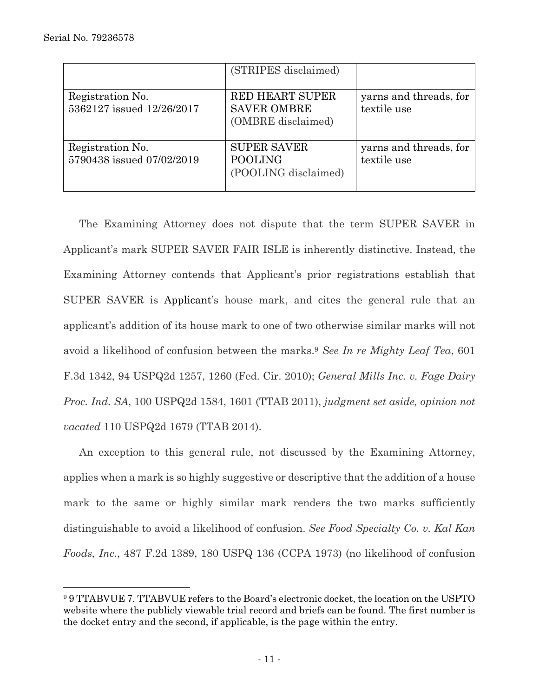l

|                                               | (STRIPES disclaimed)                                               |                                       |
|-----------------------------------------------|--------------------------------------------------------------------|---------------------------------------|
| Registration No.<br>5362127 issued 12/26/2017 | <b>RED HEART SUPER</b><br><b>SAVER OMBRE</b><br>(OMBRE disclaimed) | yarns and threads, for<br>textile use |
| Registration No.<br>5790438 issued 07/02/2019 | <b>SUPER SAVER</b><br><b>POOLING</b><br>(POOLING disclaimed)       | yarns and threads, for<br>textile use |

The Examining Attorney does not dispute that the term SUPER SAVER in Applicant's mark SUPER SAVER FAIR ISLE is inherently distinctive. Instead, the Examining Attorney contends that Applicant's prior registrations establish that SUPER SAVER is Applicant's house mark, and cites the general rule that an applicant's addition of its house mark to one of two otherwise similar marks will not avoid a likelihood of confusion between the marks.9 *See In re Mighty Leaf Tea*, 601 F.3d 1342, 94 USPQ2d 1257, 1260 (Fed. Cir. 2010); *General Mills Inc. v. Fage Dairy Proc. Ind. SA*, 100 USPQ2d 1584, 1601 (TTAB 2011), *judgment set aside, opinion not vacated* 110 USPQ2d 1679 (TTAB 2014).

An exception to this general rule, not discussed by the Examining Attorney, applies when a mark is so highly suggestive or descriptive that the addition of a house mark to the same or highly similar mark renders the two marks sufficiently distinguishable to avoid a likelihood of confusion. *See Food Specialty Co. v. Kal Kan Foods, Inc.*, 487 F.2d 1389, 180 USPQ 136 (CCPA 1973) (no likelihood of confusion

<sup>9 9</sup> TTABVUE 7. TTABVUE refers to the Board's electronic docket, the location on the USPTO website where the publicly viewable trial record and briefs can be found. The first number is the docket entry and the second, if applicable, is the page within the entry.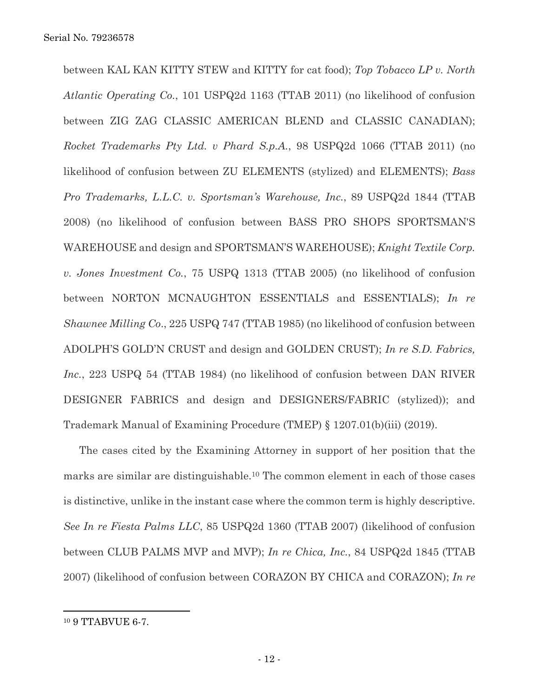between KAL KAN KITTY STEW and KITTY for cat food); *Top Tobacco LP v. North Atlantic Operating Co.*, 101 USPQ2d 1163 (TTAB 2011) (no likelihood of confusion between ZIG ZAG CLASSIC AMERICAN BLEND and CLASSIC CANADIAN); *Rocket Trademarks Pty Ltd. v Phard S.p.A.*, 98 USPQ2d 1066 (TTAB 2011) (no likelihood of confusion between ZU ELEMENTS (stylized) and ELEMENTS); *Bass Pro Trademarks, L.L.C. v. Sportsman's Warehouse, Inc.*, 89 USPQ2d 1844 (TTAB 2008) (no likelihood of confusion between BASS PRO SHOPS SPORTSMAN'S WAREHOUSE and design and SPORTSMAN'S WAREHOUSE); *Knight Textile Corp. v. Jones Investment Co.*, 75 USPQ 1313 (TTAB 2005) (no likelihood of confusion between NORTON MCNAUGHTON ESSENTIALS and ESSENTIALS); *In re Shawnee Milling Co*., 225 USPQ 747 (TTAB 1985) (no likelihood of confusion between ADOLPH'S GOLD'N CRUST and design and GOLDEN CRUST); *In re S.D. Fabrics, Inc.*, 223 USPQ 54 (TTAB 1984) (no likelihood of confusion between DAN RIVER DESIGNER FABRICS and design and DESIGNERS/FABRIC (stylized)); and Trademark Manual of Examining Procedure (TMEP) § 1207.01(b)(iii) (2019).

The cases cited by the Examining Attorney in support of her position that the marks are similar are distinguishable.10 The common element in each of those cases is distinctive, unlike in the instant case where the common term is highly descriptive. *See In re Fiesta Palms LLC*, 85 USPQ2d 1360 (TTAB 2007) (likelihood of confusion between CLUB PALMS MVP and MVP); *In re Chica, Inc.*, 84 USPQ2d 1845 (TTAB 2007) (likelihood of confusion between CORAZON BY CHICA and CORAZON); *In re* 

 $\overline{a}$ 

<sup>10 9</sup> TTABVUE 6-7.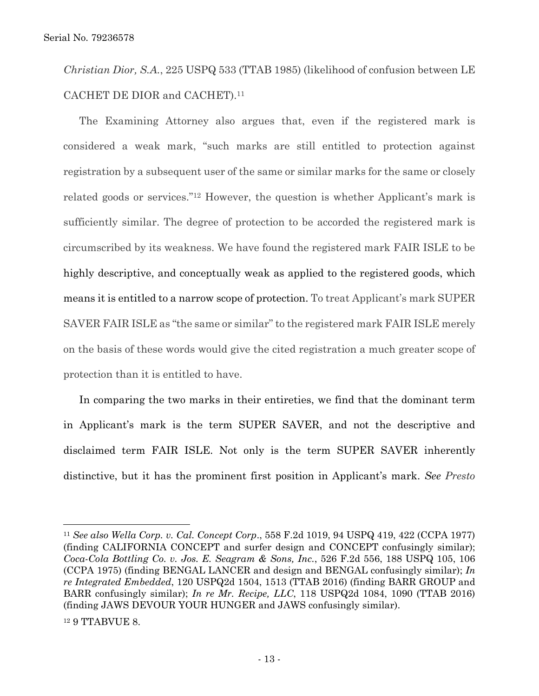*Christian Dior, S.A.*, 225 USPQ 533 (TTAB 1985) (likelihood of confusion between LE CACHET DE DIOR and CACHET).11

The Examining Attorney also argues that, even if the registered mark is considered a weak mark, "such marks are still entitled to protection against registration by a subsequent user of the same or similar marks for the same or closely related goods or services."12 However, the question is whether Applicant's mark is sufficiently similar. The degree of protection to be accorded the registered mark is circumscribed by its weakness. We have found the registered mark FAIR ISLE to be highly descriptive, and conceptually weak as applied to the registered goods, which means it is entitled to a narrow scope of protection. To treat Applicant's mark SUPER SAVER FAIR ISLE as "the same or similar" to the registered mark FAIR ISLE merely on the basis of these words would give the cited registration a much greater scope of protection than it is entitled to have.

In comparing the two marks in their entireties, we find that the dominant term in Applicant's mark is the term SUPER SAVER, and not the descriptive and disclaimed term FAIR ISLE. Not only is the term SUPER SAVER inherently distinctive, but it has the prominent first position in Applicant's mark. *See Presto* 

 $\overline{a}$ 

<sup>11</sup> *See also Wella Corp. v. Cal. Concept Corp*., 558 F.2d 1019, 94 USPQ 419, 422 (CCPA 1977) (finding CALIFORNIA CONCEPT and surfer design and CONCEPT confusingly similar); *Coca-Cola Bottling Co. v. Jos. E. Seagram & Sons, Inc.*, 526 F.2d 556, 188 USPQ 105, 106 (CCPA 1975) (finding BENGAL LANCER and design and BENGAL confusingly similar); *In re Integrated Embedded*, 120 USPQ2d 1504, 1513 (TTAB 2016) (finding BARR GROUP and BARR confusingly similar); *In re Mr. Recipe, LLC*, 118 USPQ2d 1084, 1090 (TTAB 2016) (finding JAWS DEVOUR YOUR HUNGER and JAWS confusingly similar).

<sup>12 9</sup> TTABVUE 8.